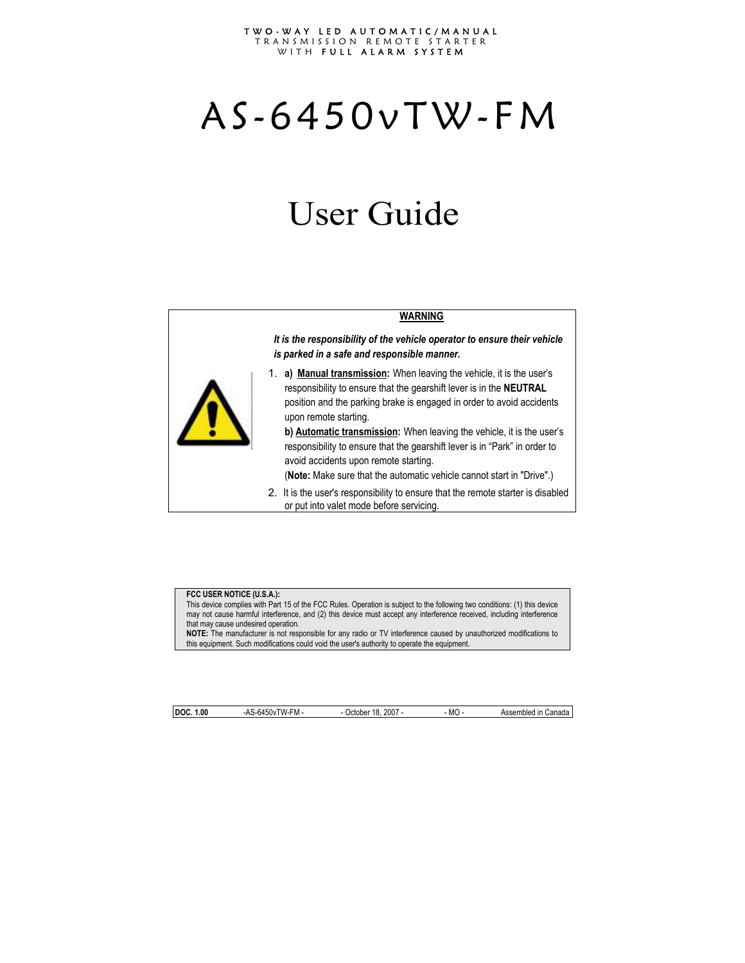#### TWO-WAY LED AUTOMATIC/MANUAL TRANSMISSION REMOTE STARTER WITH FULL ALARM SYSTEM

# AS-6450vTW-FM

## User Guide

#### **WARNING**

*It is the responsibility of the vehicle operator to ensure their vehicle is parked in a safe and responsible manner.* 

1. **a) Manual transmission:** When leaving the vehicle, it is the user's responsibility to ensure that the gearshift lever is in the **NEUTRAL** position and the parking brake is engaged in order to avoid accidents upon remote starting.

**b) Automatic transmission:** When leaving the vehicle, it is the user's responsibility to ensure that the gearshift lever is in "Park" in order to avoid accidents upon remote starting.

(**Note:** Make sure that the automatic vehicle cannot start in "Drive".)

2. It is the user's responsibility to ensure that the remote starter is disabled or put into valet mode before servicing.

#### **FCC USER NOTICE (U.S.A.):**

This device complies with Part 15 of the FCC Rules. Operation is subject to the following two conditions: (1) this device may not cause harmful interference, and (2) this device must accept any interference received, including interference that may cause undesired operation.

**NOTE:** The manufacturer is not responsible for any radio or TV interference caused by unauthorized modifications to this equipment. Such modifications could void the user's authority to operate the equipment.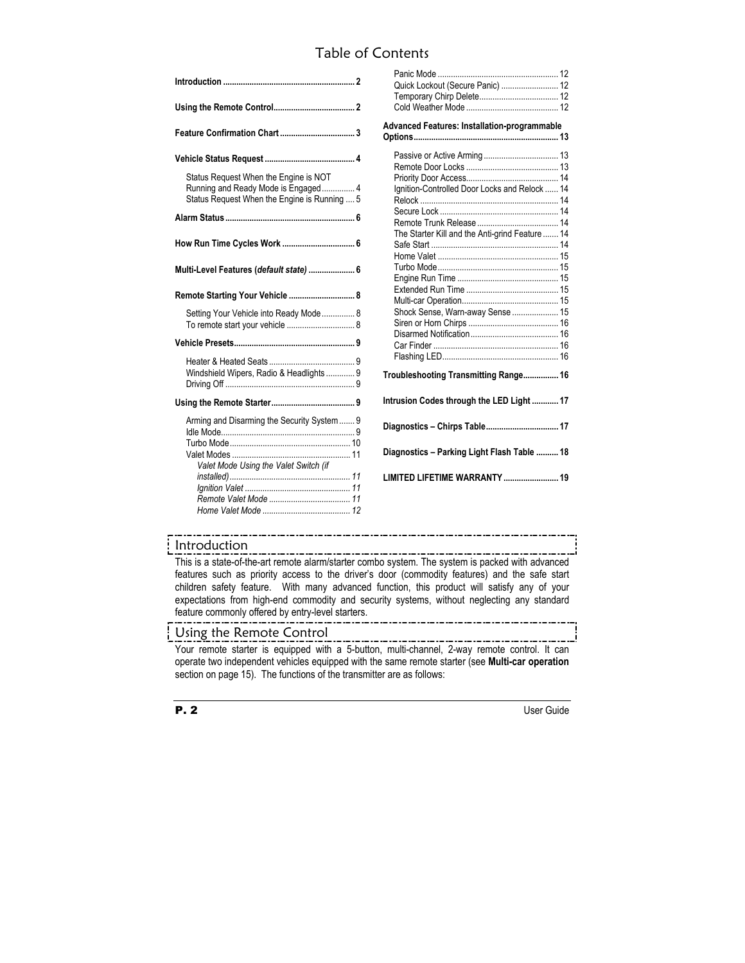## Table of Contents

| Status Request When the Engine is NOT<br>Running and Ready Mode is Engaged 4<br>Status Request When the Engine is Running  5 |
|------------------------------------------------------------------------------------------------------------------------------|
|                                                                                                                              |
| How Run Time Cycles Work  6                                                                                                  |
| Multi-Level Features (default state)  6                                                                                      |
| Remote Starting Your Vehicle  8                                                                                              |
| Setting Your Vehicle into Ready Mode 8                                                                                       |
|                                                                                                                              |
| Windshield Wipers, Radio & Headlights 9                                                                                      |
|                                                                                                                              |
| Arming and Disarming the Security System  9<br>Valet Mode Using the Valet Switch (if                                         |

| Quick Lockout (Secure Panic)  12                                                                                                     |  |  |  |  |  |
|--------------------------------------------------------------------------------------------------------------------------------------|--|--|--|--|--|
| Advanced Features: Installation-programmable                                                                                         |  |  |  |  |  |
| Ignition-Controlled Door Locks and Relock  14<br>The Starter Kill and the Anti-grind Feature  14<br>Shock Sense, Warn-away Sense  15 |  |  |  |  |  |
| Troubleshooting Transmitting Range 16                                                                                                |  |  |  |  |  |
| Intrusion Codes through the LED Light  17                                                                                            |  |  |  |  |  |
| Diagnostics - Chirps Table 17                                                                                                        |  |  |  |  |  |
| Diagnostics - Parking Light Flash Table  18                                                                                          |  |  |  |  |  |
| LIMITED LIFETIME WARRANTY  19                                                                                                        |  |  |  |  |  |

#### Introduction

This is a state-of-the-art remote alarm/starter combo system. The system is packed with advanced features such as priority access to the driver's door (commodity features) and the safe start children safety feature. With many advanced function, this product will satisfy any of your expectations from high-end commodity and security systems, without neglecting any standard feature commonly offered by entry-level starters.

#### Using the Remote Control

Your remote starter is equipped with a 5-button, multi-channel, 2-way remote control. It can operate two independent vehicles equipped with the same remote starter (see **Multi-car operation**  section on page 15). The functions of the transmitter are as follows: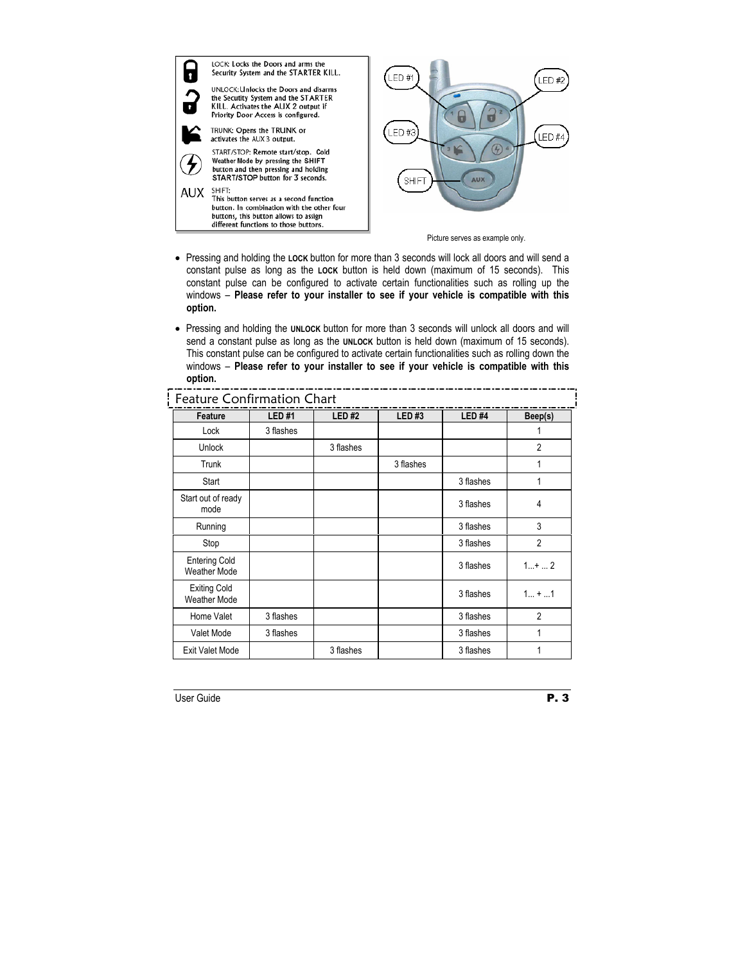| F<br>AUX | LOCK: Locks the Doors and arms the<br>Security System and the STARTER KILL.<br>UNLOCK: Unlocks the Doors and disarms<br>the Secutity System and the STARTER<br>KILL. Activates the AUX 2 output if<br>Priority Door Access is configured.<br>TRUNK: Opens the TRUNK or<br>activates the AUX 3 output.<br>START/STOP: Remote start/stop. Cold<br>Weather Mode by pressing the SHIFT<br>button and then pressing and holding<br>START/STOP button for 3 seconds.<br>SHIFT:<br>This button serves as a second function<br>button. In combination with the other four<br>buttons, this button allows to assign<br>different functions to those buttons. | .ED #1<br>ED#2<br>LED#3<br>ED#4<br><b>SHIFT</b><br><b>AUX</b> |
|----------|-----------------------------------------------------------------------------------------------------------------------------------------------------------------------------------------------------------------------------------------------------------------------------------------------------------------------------------------------------------------------------------------------------------------------------------------------------------------------------------------------------------------------------------------------------------------------------------------------------------------------------------------------------|---------------------------------------------------------------|
|          |                                                                                                                                                                                                                                                                                                                                                                                                                                                                                                                                                                                                                                                     | Picture serves as example only.                               |

- Pressing and holding the **LOCK** button for more than 3 seconds will lock all doors and will send a constant pulse as long as the **LOCK** button is held down (maximum of 15 seconds). This constant pulse can be configured to activate certain functionalities such as rolling up the windows – **Please refer to your installer to see if your vehicle is compatible with this option.**
- Pressing and holding the **UNLOCK** button for more than 3 seconds will unlock all doors and will send a constant pulse as long as the **UNLOCK** button is held down (maximum of 15 seconds). This constant pulse can be configured to activate certain functionalities such as rolling down the windows – **Please refer to your installer to see if your vehicle is compatible with this option.** Feature Confirmation Chart

| Feature                                     | <b>LED#1</b> | <b>LED#2</b> | LED#3     | LED <sub>#4</sub> | Beep(s)        |
|---------------------------------------------|--------------|--------------|-----------|-------------------|----------------|
| Lock                                        | 3 flashes    |              |           |                   |                |
| Unlock                                      |              | 3 flashes    |           |                   | $\overline{2}$ |
| Trunk                                       |              |              | 3 flashes |                   | 1              |
| Start                                       |              |              |           | 3 flashes         | 1              |
| Start out of ready<br>mode                  |              |              |           | 3 flashes         | 4              |
| Running                                     |              |              |           | 3 flashes         | 3              |
| Stop                                        |              |              |           | 3 flashes         | $\overline{2}$ |
| <b>Entering Cold</b><br><b>Weather Mode</b> |              |              |           | 3 flashes         | $1+2$          |
| <b>Exiting Cold</b><br><b>Weather Mode</b>  |              |              |           | 3 flashes         | $1 +  1$       |
| Home Valet                                  | 3 flashes    |              |           | 3 flashes         | $\overline{2}$ |
| Valet Mode                                  | 3 flashes    |              |           | 3 flashes         | 1              |
| <b>Exit Valet Mode</b>                      |              | 3 flashes    |           | 3 flashes         |                |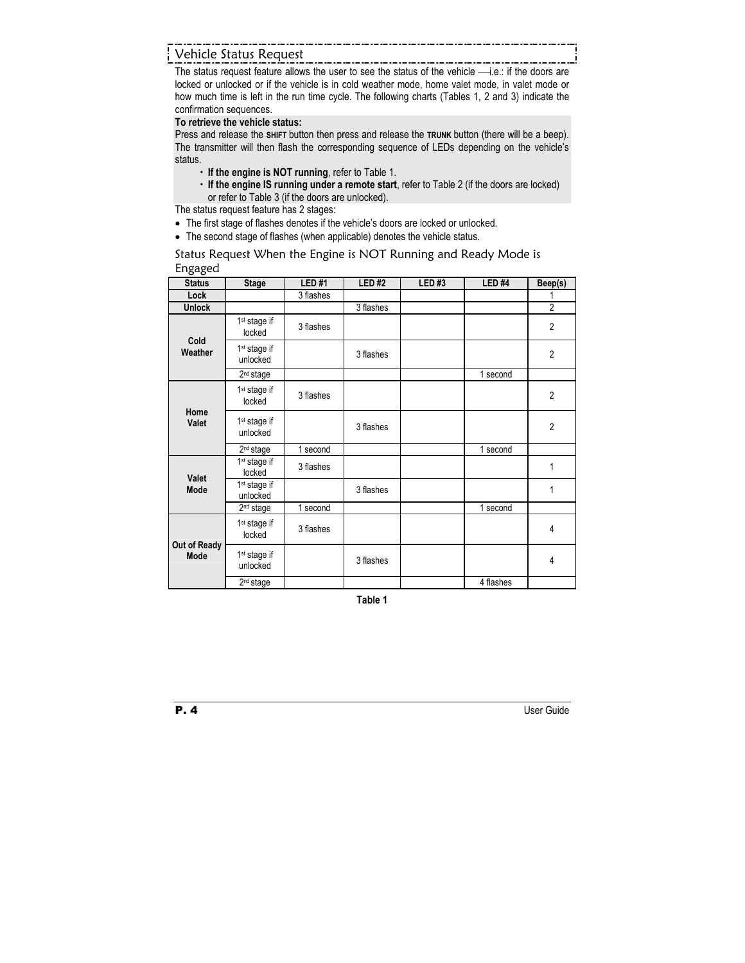### Vehicle Status Request

The status request feature allows the user to see the status of the vehicle  $\longrightarrow$  i.e.: if the doors are locked or unlocked or if the vehicle is in cold weather mode, home valet mode, in valet mode or how much time is left in the run time cycle. The following charts (Tables 1, 2 and 3) indicate the confirmation sequences.

#### **To retrieve the vehicle status:**

Press and release the **SHIFT** button then press and release the **TRUNK** button (there will be a beep). The transmitter will then flash the corresponding sequence of LEDs depending on the vehicle's status.

- $\cdot$  If the engine is NOT running, refer to Table 1.
- x **If the engine IS running under a remote start**, refer to Table 2 (if the doors are locked) or refer to Table 3 (if the doors are unlocked).

The status request feature has 2 stages:

- The first stage of flashes denotes if the vehicle's doors are locked or unlocked.
- The second stage of flashes (when applicable) denotes the vehicle status.

Status Request When the Engine is NOT Running and Ready Mode is Engaged

| ັບ<br><b>Status</b>  |                                      | <b>LED#1</b> | <b>LED#2</b> | <b>LED#3</b> | <b>LED #4</b> |                |
|----------------------|--------------------------------------|--------------|--------------|--------------|---------------|----------------|
|                      | <b>Stage</b>                         |              |              |              |               | Beep(s)        |
| Lock                 |                                      | 3 flashes    |              |              |               |                |
| <b>Unlock</b>        |                                      |              | 3 flashes    |              |               | $\overline{2}$ |
| Cold<br>Weather      | 1 <sup>st</sup> stage if<br>locked   | 3 flashes    |              |              |               | $\overline{2}$ |
|                      | 1 <sup>st</sup> stage if<br>unlocked |              | 3 flashes    |              |               | $\overline{2}$ |
|                      | 2 <sup>nd</sup> stage                |              |              |              | 1 second      |                |
| Home<br>Valet        | 1 <sup>st</sup> stage if<br>locked   | 3 flashes    |              |              |               | $\overline{2}$ |
|                      | 1 <sup>st</sup> stage if<br>unlocked |              | 3 flashes    |              |               | $\overline{2}$ |
|                      | 2 <sup>nd</sup> stage                | 1 second     |              |              | 1 second      |                |
| Valet                | 1 <sup>st</sup> stage if<br>locked   | 3 flashes    |              |              |               | 1              |
| Mode                 | 1 <sup>st</sup> stage if<br>unlocked |              | 3 flashes    |              |               | 1              |
|                      | 2 <sup>nd</sup> stage                | 1 second     |              |              | 1 second      |                |
| Out of Ready<br>Mode | 1 <sup>st</sup> stage if<br>locked   | 3 flashes    |              |              |               | 4              |
|                      | 1 <sup>st</sup> stage if<br>unlocked |              | 3 flashes    |              |               | 4              |
|                      | 2 <sup>nd</sup> stage                |              |              |              | 4 flashes     |                |

**Table 1**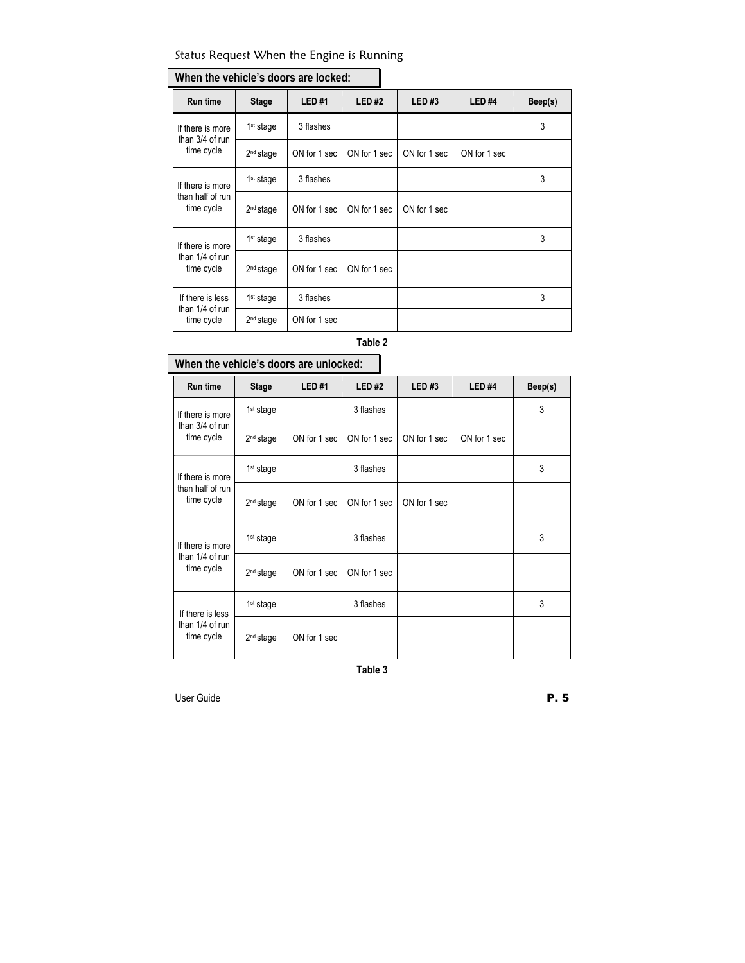#### Status Request When the Engine is Running

| <b>Run time</b>                                    | <b>Stage</b>          | <b>LED#1</b> | <b>LED#2</b> | LED#3        | LED <sub>#4</sub> | Beep(s) |
|----------------------------------------------------|-----------------------|--------------|--------------|--------------|-------------------|---------|
| If there is more<br>than 3/4 of run<br>time cycle  | 1 <sup>st</sup> stage | 3 flashes    |              |              |                   | 3       |
|                                                    | 2 <sup>nd</sup> stage | ON for 1 sec | ON for 1 sec | ON for 1 sec | ON for 1 sec      |         |
| If there is more<br>than half of run<br>time cycle | 1 <sup>st</sup> stage | 3 flashes    |              |              |                   | 3       |
|                                                    | 2 <sup>nd</sup> stage | ON for 1 sec | ON for 1 sec | ON for 1 sec |                   |         |
| If there is more<br>than 1/4 of run<br>time cycle  | 1 <sup>st</sup> stage | 3 flashes    |              |              |                   | 3       |
|                                                    | 2 <sup>nd</sup> stage | ON for 1 sec | ON for 1 sec |              |                   |         |
| If there is less<br>than 1/4 of run<br>time cycle  | 1 <sup>st</sup> stage | 3 flashes    |              |              |                   | 3       |
|                                                    | 2 <sup>nd</sup> stage | ON for 1 sec |              |              |                   |         |

## **When the vehicle's doors are locked:**

#### **Table 2**

## **When the vehicle's doors are unlocked:**  Run time | Stage | LED #1 | LED #2 | LED #3 | LED #4 | Beep(s) If there is more  $3$  and  $1$  stage  $3$   $1$  as hes  $3$ than 3/4 of run time cycle 2nd stage ON for 1 sec ON for 1 sec ON for 1 sec ON for 1 sec 1<sup>st</sup> stage 3 and 3 flashes 3 stage 3 3 stage 3 stage 3 stage 3 stage 3 stage 3 stage 3 stage 3 stage 3 stage 3 stage 3 stage 3 stage 3 stage 3 stage 3 stage 3 stage 3 stage 3 stage 3 stage 3 stage 3 stage 3 stage 3 stage If there is more than half of run time cycle 2nd stage ON for 1 sec ON for 1 sec ON for 1 sec 1<sup>st</sup> stage 3 flashes 3 flashes 3 stage 3 stage 3 stage 3 stage 3 stage 3 stage 3 stage 3 stage 3 stage 3 stage 3 stage 3 stage 3 stage 3 stage 3 stage 3 stage 3 stage 3 stage 3 stage 3 stage 3 stage 3 stage 3 stage 3 stag If there is more than 1/4 of run time cycle  $\begin{array}{|c|c|c|c|c|c|} \hline \end{array}$  2<sup>nd</sup> stage ON for 1 sec ON for 1 sec 1<sup>st</sup> stage 3 flashes 3 flashes 3 stage 3 stage 3 stage 3 stage 3 stage 3 stage 3 stage 3 stage 3 stage 3 stage 3 stage 3 stage 3 stage 3 stage 3 stage 3 stage 3 stage 3 stage 3 stage 3 stage 3 stage 3 stage 3 stage 3 stag If there is less than 1/4 of run time cycle 2<sup>nd</sup> stage ON for 1 sec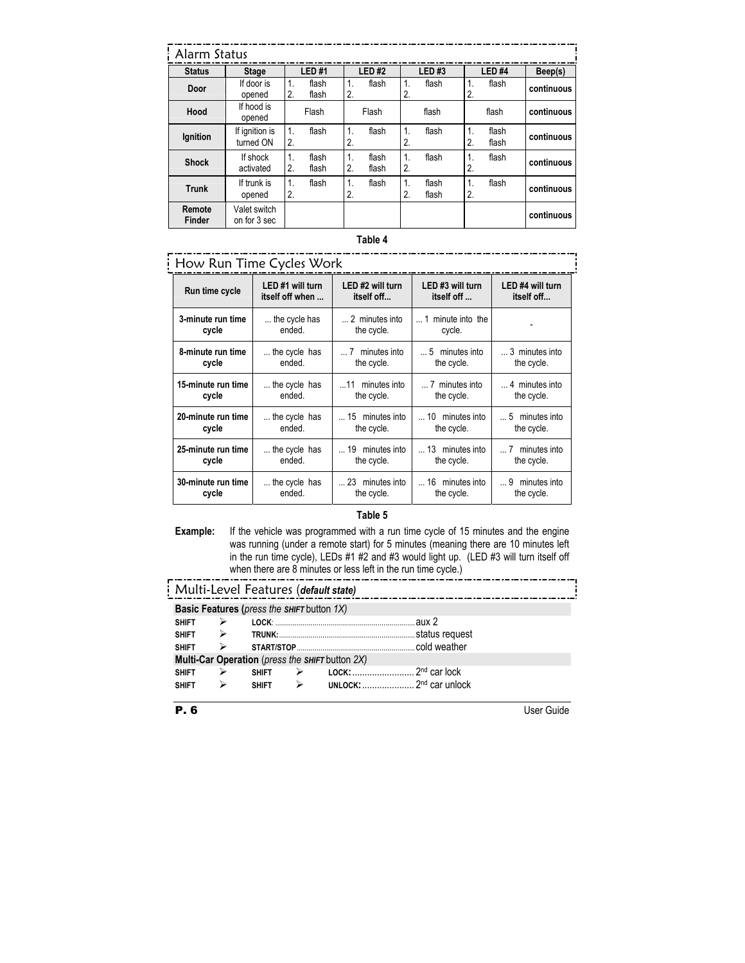| Alarm Status            |                              |                    |                |                      |                |                   |                |                    |                   |            |
|-------------------------|------------------------------|--------------------|----------------|----------------------|----------------|-------------------|----------------|--------------------|-------------------|------------|
| <b>Status</b>           | <b>Stage</b>                 |                    | <b>LED#1</b>   |                      | <b>LED#2</b>   |                   | <b>LED#3</b>   |                    | LED <sub>#4</sub> | Beep(s)    |
| Door                    | If door is<br>opened         | $\mathbf 1$<br>2.  | flash<br>flash | $\mathbf 1$<br>2.    | flash          | $\mathbf 1$<br>2. | flash          | 1.<br>2.           | flash             | continuous |
| Hood                    | If hood is<br>opened         |                    | Flash          |                      | Flash          |                   | flash          |                    | flash             | continuous |
| Ignition                | If ignition is<br>turned ON  | $\mathbf{1}$<br>2. | flash          | 1.<br>2.             | flash          | $\mathbf 1$<br>2. | flash          | 1.<br>2.           | flash<br>flash    | continuous |
| <b>Shock</b>            | If shock<br>activated        | 1.<br>2.           | flash<br>flash | $\mathbf{1}$ .<br>2. | flash<br>flash | $\mathbf 1$<br>2. | flash          | 1.<br>2.           | flash             | continuous |
| <b>Trunk</b>            | If trunk is<br>opened        | $\mathbf{1}$<br>2. | flash          | 1.<br>2.             | flash          | 1.<br>2.          | flash<br>flash | $\mathbf{1}$<br>2. | flash             | continuous |
| Remote<br><b>Finder</b> | Valet switch<br>on for 3 sec |                    |                |                      |                |                   |                |                    |                   | continuous |

#### **Table 4**

| How Run Time Cycles Work    |                                     |                                |                                  |                                          |  |  |
|-----------------------------|-------------------------------------|--------------------------------|----------------------------------|------------------------------------------|--|--|
| Run time cycle              | LED #1 will turn<br>itself off when | LED #2 will turn<br>itself off | LED #3 will turn<br>itself off   | LED #4 will turn<br>itself off           |  |  |
| 3-minute run time<br>cycle  | the cycle has<br>ended.             | 2 minutes into<br>the cycle.   | minute into the<br>1<br>cycle.   |                                          |  |  |
| 8-minute run time<br>cycle  | the cycle has<br>ended.             | minutes into<br>the cycle.     | 5 minutes into<br>the cycle.     | 3 minutes into<br>the cycle.             |  |  |
| 15-minute run time<br>cycle | the cycle has<br>ended.             | 11 minutes into<br>the cycle.  | 7 minutes into<br>the cycle.     | 4 minutes into<br>the cycle.             |  |  |
| 20-minute run time<br>cycle | the cycle has<br>ended.             | 15 minutes into<br>the cycle.  | 10 minutes into<br>the cycle.    | minutes into<br>. . 5<br>the cycle.      |  |  |
| 25-minute run time<br>cycle | the cycle has<br>ended.             | 19 minutes into<br>the cycle.  | 13<br>minutes into<br>the cycle. | minutes into<br>$\ldots$ 7<br>the cycle. |  |  |
| 30-minute run time<br>cycle | the cycle has<br>ended.             | 23 minutes into<br>the cycle.  | 16 minutes into<br>the cycle.    | minutes into<br>9<br>the cycle.          |  |  |

#### **Table 5**

**Example:** If the vehicle was programmed with a run time cycle of 15 minutes and the engine was running (under a remote start) for 5 minutes (meaning there are 10 minutes left in the run time cycle), LEDs #1 #2 and #3 would light up. (LED #3 will turn itself off when there are 8 minutes or less left in the run time cycle.)

|              |               | Multi-Level Features (default state)              |               |                                                 |
|--------------|---------------|---------------------------------------------------|---------------|-------------------------------------------------|
|              |               | <b>Basic Features (press the SHIFT button 1X)</b> |               |                                                 |
| <b>SHIFT</b> |               |                                                   |               | aux 2                                           |
| <b>SHIFT</b> | $\rightarrow$ |                                                   |               |                                                 |
| <b>SHIFT</b> |               |                                                   |               |                                                 |
|              |               |                                                   |               | Multi-Car Operation (press the SHIFT button 2X) |
| <b>SHIFT</b> |               | <b>SHIFT</b>                                      | $\rightarrow$ |                                                 |
| <b>SHIFT</b> |               | <b>SHIFT</b>                                      | $\rightarrow$ | UNLOCK: $\ldots$ 2 <sup>nd</sup> car unlock     |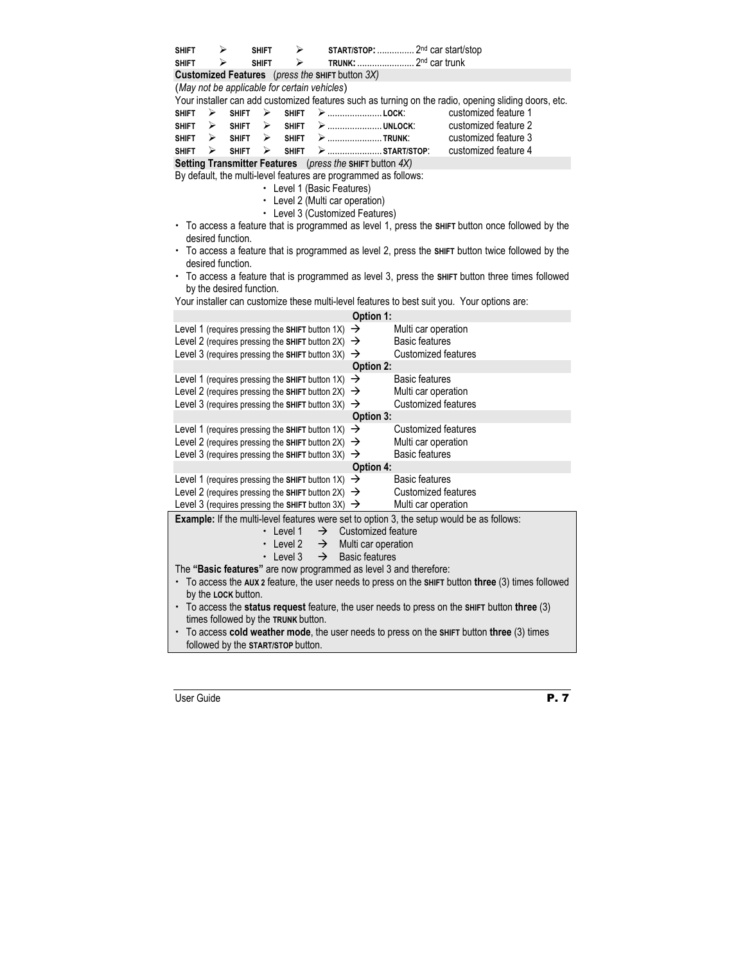| <b>SHIFT</b> | ⋗                   |              | <b>SHIFT</b>             | ➤                                                                                                  |                                                               |                                                                 | <b>START/STOP:</b> 2 <sup>nd</sup> car start/stop                 |                                                                                                      |
|--------------|---------------------|--------------|--------------------------|----------------------------------------------------------------------------------------------------|---------------------------------------------------------------|-----------------------------------------------------------------|-------------------------------------------------------------------|------------------------------------------------------------------------------------------------------|
| <b>SHIFT</b> | ⋗                   |              | <b>SHIFT</b>             | ⋗                                                                                                  |                                                               |                                                                 | TRUNK:  2 <sup>nd</sup> car trunk                                 |                                                                                                      |
|              |                     |              |                          |                                                                                                    | Customized Features (press the SHIFT button 3X)               |                                                                 |                                                                   |                                                                                                      |
|              |                     |              |                          |                                                                                                    | (May not be applicable for certain vehicles)                  |                                                                 |                                                                   |                                                                                                      |
|              |                     |              |                          |                                                                                                    |                                                               |                                                                 |                                                                   | Your installer can add customized features such as turning on the radio, opening sliding doors, etc. |
| <b>SHIFT</b> | ⋗                   | <b>SHIFT</b> | ⋗                        | <b>SHIFT</b>                                                                                       |                                                               | ➢  LOCK:                                                        |                                                                   | customized feature 1                                                                                 |
| <b>SHIFT</b> | ≻                   | <b>SHIFT</b> | ⋗                        | <b>SHIFT</b>                                                                                       |                                                               | ➢ ………………… UNLOCK:                                               |                                                                   | customized feature 2                                                                                 |
| SHIFT        | ⋗                   | <b>SHIFT</b> | ⋗                        | <b>SHIFT</b>                                                                                       |                                                               | > TRUNK:                                                        |                                                                   | customized feature 3                                                                                 |
| <b>SHIFT</b> | ↘                   | <b>SHIFT</b> | ⋗                        | <b>SHIFT</b>                                                                                       |                                                               | >  START/STOP:                                                  |                                                                   | customized feature 4                                                                                 |
|              |                     |              |                          |                                                                                                    |                                                               | <b>Setting Transmitter Features</b> (press the SHIFT button 4X) |                                                                   |                                                                                                      |
|              |                     |              |                          |                                                                                                    |                                                               | By default, the multi-level features are programmed as follows: |                                                                   |                                                                                                      |
|              |                     |              |                          |                                                                                                    | • Level 1 (Basic Features)                                    |                                                                 |                                                                   |                                                                                                      |
|              |                     |              |                          |                                                                                                    |                                                               | Level 2 (Multi car operation)                                   |                                                                   |                                                                                                      |
|              |                     |              |                          |                                                                                                    |                                                               | • Level 3 (Customized Features)                                 |                                                                   |                                                                                                      |
|              | desired function.   |              |                          |                                                                                                    |                                                               |                                                                 |                                                                   | To access a feature that is programmed as level 1, press the SHIFT button once followed by the       |
|              | desired function.   |              |                          |                                                                                                    |                                                               |                                                                 |                                                                   | • To access a feature that is programmed as level 2, press the SHIFT button twice followed by the    |
|              |                     |              | by the desired function. |                                                                                                    |                                                               |                                                                 |                                                                   | • To access a feature that is programmed as level 3, press the sнигт button three times followed     |
|              |                     |              |                          |                                                                                                    |                                                               |                                                                 |                                                                   | Your installer can customize these multi-level features to best suit you. Your options are:          |
|              |                     |              |                          |                                                                                                    |                                                               | Option 1:                                                       |                                                                   |                                                                                                      |
|              |                     |              |                          | Level 1 (requires pressing the SHIFT button 1X)                                                    |                                                               | →                                                               | Multi car operation                                               |                                                                                                      |
|              |                     |              |                          |                                                                                                    |                                                               | →                                                               | <b>Basic features</b>                                             |                                                                                                      |
|              |                     |              |                          | Level 2 (requires pressing the SHIFT button 2X)<br>Level 3 (requires pressing the SHIFT button 3X) |                                                               | $\rightarrow$                                                   | <b>Customized features</b>                                        |                                                                                                      |
|              |                     |              |                          |                                                                                                    |                                                               |                                                                 |                                                                   |                                                                                                      |
|              |                     |              |                          |                                                                                                    |                                                               | Option 2:<br>→                                                  | <b>Basic features</b>                                             |                                                                                                      |
|              |                     |              |                          | Level 1 (requires pressing the SHIFT button 1X)<br>Level 2 (requires pressing the SHIFT button 2X) |                                                               |                                                                 | Multi car operation                                               |                                                                                                      |
|              |                     |              |                          |                                                                                                    | Level 3 (requires pressing the SHIFT button 3X) $\rightarrow$ | →                                                               | <b>Customized features</b>                                        |                                                                                                      |
|              |                     |              |                          |                                                                                                    |                                                               | Option 3:                                                       |                                                                   |                                                                                                      |
|              |                     |              |                          | Level 1 (requires pressing the SHIFT button 1X)                                                    |                                                               | →                                                               | Customized features                                               |                                                                                                      |
|              |                     |              |                          | Level 2 (requires pressing the SHIFT button 2X)                                                    |                                                               | →                                                               | Multi car operation                                               |                                                                                                      |
|              |                     |              |                          | Level 3 (requires pressing the SHIFT button 3X)                                                    |                                                               | $\rightarrow$                                                   | <b>Basic features</b>                                             |                                                                                                      |
|              |                     |              |                          |                                                                                                    |                                                               | Option 4:                                                       |                                                                   |                                                                                                      |
|              |                     |              |                          | Level 1 (requires pressing the SHIFT button 1X)                                                    |                                                               | →                                                               | <b>Basic features</b>                                             |                                                                                                      |
|              |                     |              |                          | Level 2 (requires pressing the SHIFT button 2X)                                                    |                                                               | →                                                               | <b>Customized features</b>                                        |                                                                                                      |
|              |                     |              |                          |                                                                                                    | Level 3 (requires pressing the SHIFT button 3X) $\rightarrow$ |                                                                 | Multi car operation                                               |                                                                                                      |
|              |                     |              |                          |                                                                                                    |                                                               |                                                                 |                                                                   | <b>Example:</b> If the multi-level features were set to option 3, the setup would be as follows:     |
|              |                     |              |                          | Level 1                                                                                            | →                                                             | Customized feature                                              |                                                                   |                                                                                                      |
|              |                     |              |                          | Level 2                                                                                            | $\rightarrow$                                                 | Multi car operation                                             |                                                                   |                                                                                                      |
|              |                     |              |                          | $\cdot$ Level 3                                                                                    | $\rightarrow$                                                 | <b>Basic features</b>                                           |                                                                   |                                                                                                      |
|              |                     |              |                          |                                                                                                    |                                                               |                                                                 | The "Basic features" are now programmed as level 3 and therefore: |                                                                                                      |
|              |                     |              |                          |                                                                                                    |                                                               |                                                                 |                                                                   | To access the AUX 2 feature, the user needs to press on the SHIFT button three (3) times followed    |
|              | by the LOCK button. |              |                          |                                                                                                    |                                                               |                                                                 |                                                                   |                                                                                                      |
|              |                     |              |                          |                                                                                                    |                                                               |                                                                 |                                                                   | $\cdot$ To access the status request feature, the user needs to press on the SHIFT button three (3)  |
|              |                     |              |                          | times followed by the TRUNK button.                                                                |                                                               |                                                                 |                                                                   |                                                                                                      |
|              |                     |              |                          |                                                                                                    |                                                               |                                                                 |                                                                   | To access cold weather mode, the user needs to press on the SHIFT button three (3) times             |
|              |                     |              |                          | followed by the START/STOP button.                                                                 |                                                               |                                                                 |                                                                   |                                                                                                      |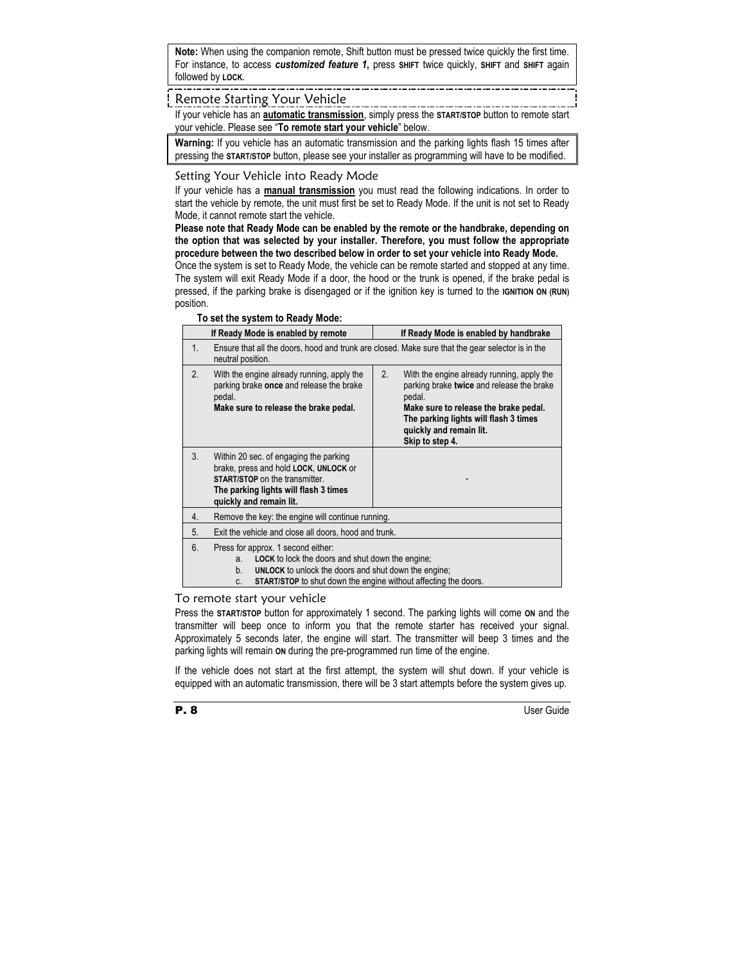**Note:** When using the companion remote, Shift button must be pressed twice quickly the first time. For instance, to access *customized feature 1***,** press **SHIFT** twice quickly, **SHIFT** and **SHIFT** again followed by **LOCK.** 

#### Remote Starting Your Vehicle

If your vehicle has an **automatic transmission**, simply press the **START/STOP** button to remote start your vehicle. Please see "**To remote start your vehicle**" below.

**Warning:** If you vehicle has an automatic transmission and the parking lights flash 15 times after pressing the **START/STOP** button, please see your installer as programming will have to be modified.

#### Setting Your Vehicle into Ready Mode

If your vehicle has a **manual transmission** you must read the following indications. In order to start the vehicle by remote, the unit must first be set to Ready Mode. If the unit is not set to Ready Mode, it cannot remote start the vehicle.

**Please note that Ready Mode can be enabled by the remote or the handbrake, depending on the option that was selected by your installer. Therefore, you must follow the appropriate procedure between the two described below in order to set your vehicle into Ready Mode.** 

Once the system is set to Ready Mode, the vehicle can be remote started and stopped at any time. The system will exit Ready Mode if a door, the hood or the trunk is opened, if the brake pedal is pressed, if the parking brake is disengaged or if the ignition key is turned to the **IGNITION ON (RUN)** position.

|    | If Ready Mode is enabled by remote                                                                                                                                                                                                                       | If Ready Mode is enabled by handbrake                                                                                                                                                                                                   |  |  |  |  |  |
|----|----------------------------------------------------------------------------------------------------------------------------------------------------------------------------------------------------------------------------------------------------------|-----------------------------------------------------------------------------------------------------------------------------------------------------------------------------------------------------------------------------------------|--|--|--|--|--|
| 1. | neutral position.                                                                                                                                                                                                                                        | Ensure that all the doors, hood and trunk are closed. Make sure that the gear selector is in the                                                                                                                                        |  |  |  |  |  |
| 2. | With the engine already running, apply the<br>parking brake once and release the brake<br>pedal.<br>Make sure to release the brake pedal.                                                                                                                | 2.<br>With the engine already running, apply the<br>parking brake twice and release the brake<br>pedal.<br>Make sure to release the brake pedal.<br>The parking lights will flash 3 times<br>quickly and remain lit.<br>Skip to step 4. |  |  |  |  |  |
| 3. | Within 20 sec. of engaging the parking<br>brake, press and hold LOCK, UNLOCK or<br><b>START/STOP</b> on the transmitter.<br>The parking lights will flash 3 times<br>quickly and remain lit.                                                             |                                                                                                                                                                                                                                         |  |  |  |  |  |
| 4. | Remove the key: the engine will continue running.                                                                                                                                                                                                        |                                                                                                                                                                                                                                         |  |  |  |  |  |
| 5. | Exit the vehicle and close all doors, hood and trunk.                                                                                                                                                                                                    |                                                                                                                                                                                                                                         |  |  |  |  |  |
| 6. | Press for approx. 1 second either:<br><b>LOCK</b> to lock the doors and shut down the engine:<br>a.<br><b>UNLOCK</b> to unlock the doors and shut down the engine;<br>b.<br><b>START/STOP</b> to shut down the engine without affecting the doors.<br>C. |                                                                                                                                                                                                                                         |  |  |  |  |  |

#### **To set the system to Ready Mode:**

#### To remote start your vehicle

Press the **START/STOP** button for approximately 1 second. The parking lights will come **ON** and the transmitter will beep once to inform you that the remote starter has received your signal. Approximately 5 seconds later, the engine will start. The transmitter will beep 3 times and the parking lights will remain **ON** during the pre-programmed run time of the engine.

If the vehicle does not start at the first attempt, the system will shut down. If your vehicle is equipped with an automatic transmission, there will be 3 start attempts before the system gives up.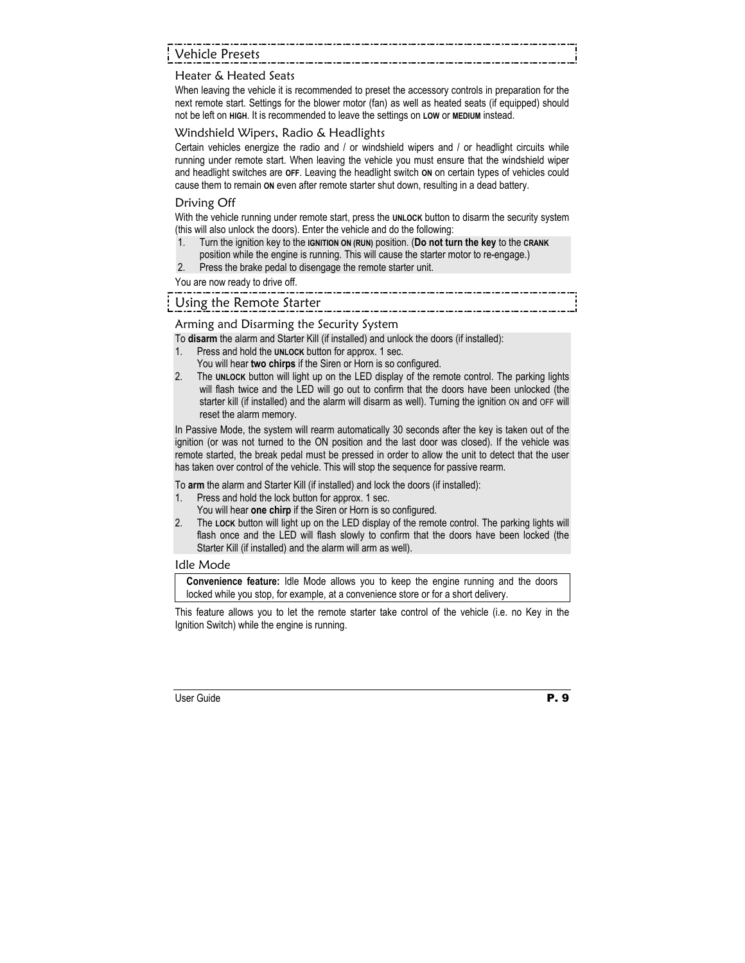## Vehicle Presets

#### Heater & Heated Seats

When leaving the vehicle it is recommended to preset the accessory controls in preparation for the next remote start. Settings for the blower motor (fan) as well as heated seats (if equipped) should not be left on **HIGH**. It is recommended to leave the settings on **LOW** or **MEDIUM** instead.

#### Windshield Wipers, Radio & Headlights

Certain vehicles energize the radio and / or windshield wipers and / or headlight circuits while running under remote start. When leaving the vehicle you must ensure that the windshield wiper and headlight switches are **OFF**. Leaving the headlight switch **ON** on certain types of vehicles could cause them to remain **ON** even after remote starter shut down, resulting in a dead battery.

#### Driving Off

With the vehicle running under remote start, press the **UNLOCK** button to disarm the security system (this will also unlock the doors). Enter the vehicle and do the following:

- 1. Turn the ignition key to the **IGNITION ON (RUN)** position. (**Do not turn the key** to the **CRANK** position while the engine is running. This will cause the starter motor to re-engage.)
- 2. Press the brake pedal to disengage the remote starter unit.

You are now ready to drive off.

## Using the Remote Starter

#### Arming and Disarming the Security System

To **disarm** the alarm and Starter Kill (if installed) and unlock the doors (if installed):

- 1. Press and hold the **UNLOCK** button for approx. 1 sec.
	- You will hear **two chirps** if the Siren or Horn is so configured.
- 2. The **UNLOCK** button will light up on the LED display of the remote control. The parking lights will flash twice and the LED will go out to confirm that the doors have been unlocked (the starter kill (if installed) and the alarm will disarm as well). Turning the ignition ON and OFF will reset the alarm memory.

In Passive Mode, the system will rearm automatically 30 seconds after the key is taken out of the ignition (or was not turned to the ON position and the last door was closed). If the vehicle was remote started, the break pedal must be pressed in order to allow the unit to detect that the user has taken over control of the vehicle. This will stop the sequence for passive rearm.

To **arm** the alarm and Starter Kill (if installed) and lock the doors (if installed):

- 1. Press and hold the lock button for approx. 1 sec.
- You will hear **one chirp** if the Siren or Horn is so configured.
- 2. The **LOCK** button will light up on the LED display of the remote control. The parking lights will flash once and the LED will flash slowly to confirm that the doors have been locked (the Starter Kill (if installed) and the alarm will arm as well).

#### Idle Mode

**Convenience feature:** Idle Mode allows you to keep the engine running and the doors locked while you stop, for example, at a convenience store or for a short delivery.

This feature allows you to let the remote starter take control of the vehicle (i.e. no Key in the Ignition Switch) while the engine is running.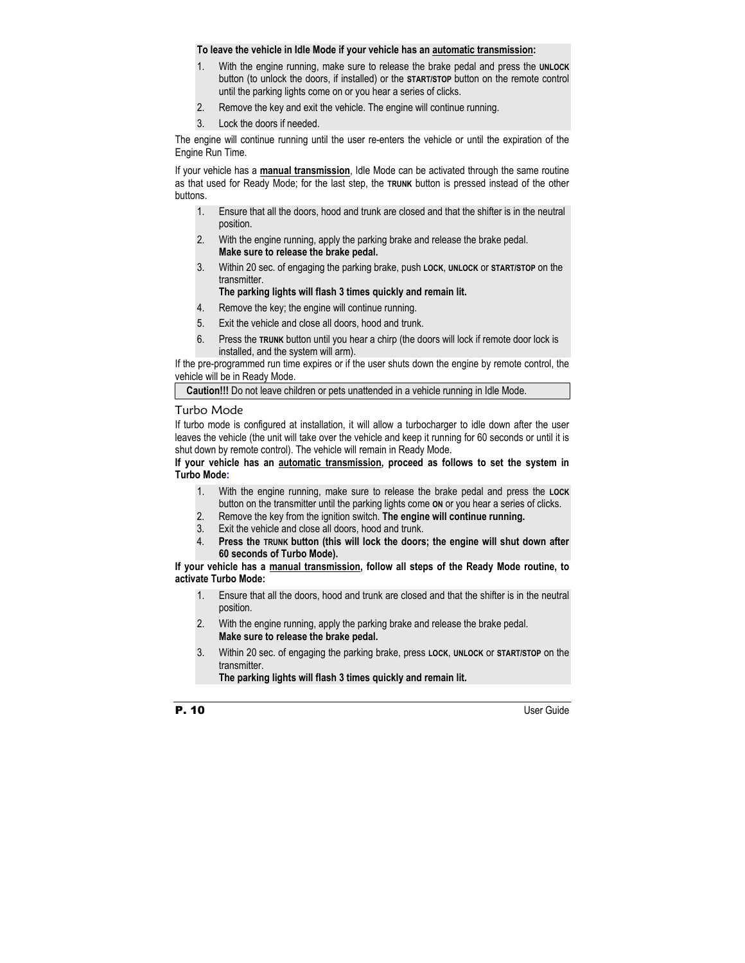#### **To leave the vehicle in Idle Mode if your vehicle has an automatic transmission:**

- 1. With the engine running, make sure to release the brake pedal and press the **UNLOCK** button (to unlock the doors, if installed) or the **START/STOP** button on the remote control until the parking lights come on or you hear a series of clicks.
- 2. Remove the key and exit the vehicle. The engine will continue running.
- 3. Lock the doors if needed.

The engine will continue running until the user re-enters the vehicle or until the expiration of the Engine Run Time.

If your vehicle has a **manual transmission**, Idle Mode can be activated through the same routine as that used for Ready Mode; for the last step, the **TRUNK** button is pressed instead of the other buttons.

- 1. Ensure that all the doors, hood and trunk are closed and that the shifter is in the neutral position.
- 2. With the engine running, apply the parking brake and release the brake pedal. **Make sure to release the brake pedal.**
- 3. Within 20 sec. of engaging the parking brake, push **LOCK**, **UNLOCK** or **START/STOP** on the transmitter.

**The parking lights will flash 3 times quickly and remain lit.** 

- 4. Remove the key; the engine will continue running.
- 5. Exit the vehicle and close all doors, hood and trunk.
- 6. Press the **TRUNK** button until you hear a chirp (the doors will lock if remote door lock is installed, and the system will arm).

If the pre-programmed run time expires or if the user shuts down the engine by remote control, the vehicle will be in Ready Mode.

**Caution!!!** Do not leave children or pets unattended in a vehicle running in Idle Mode.

#### Turbo Mode

If turbo mode is configured at installation, it will allow a turbocharger to idle down after the user leaves the vehicle (the unit will take over the vehicle and keep it running for 60 seconds or until it is shut down by remote control). The vehicle will remain in Ready Mode.

**If your vehicle has an automatic transmission, proceed as follows to set the system in Turbo Mode:**

- 1. With the engine running, make sure to release the brake pedal and press the **LOCK** button on the transmitter until the parking lights come **ON** or you hear a series of clicks.
- 2. Remove the key from the ignition switch. **The engine will continue running.**
- 3. Exit the vehicle and close all doors, hood and trunk.
- 4. **Press the TRUNK button (this will lock the doors; the engine will shut down after 60 seconds of Turbo Mode).**

#### **If your vehicle has a manual transmission, follow all steps of the Ready Mode routine, to activate Turbo Mode:**

- 1. Ensure that all the doors, hood and trunk are closed and that the shifter is in the neutral position.
- 2. With the engine running, apply the parking brake and release the brake pedal. **Make sure to release the brake pedal.**
- 3. Within 20 sec. of engaging the parking brake, press **LOCK**, **UNLOCK** or **START/STOP** on the transmitter.

**The parking lights will flash 3 times quickly and remain lit.**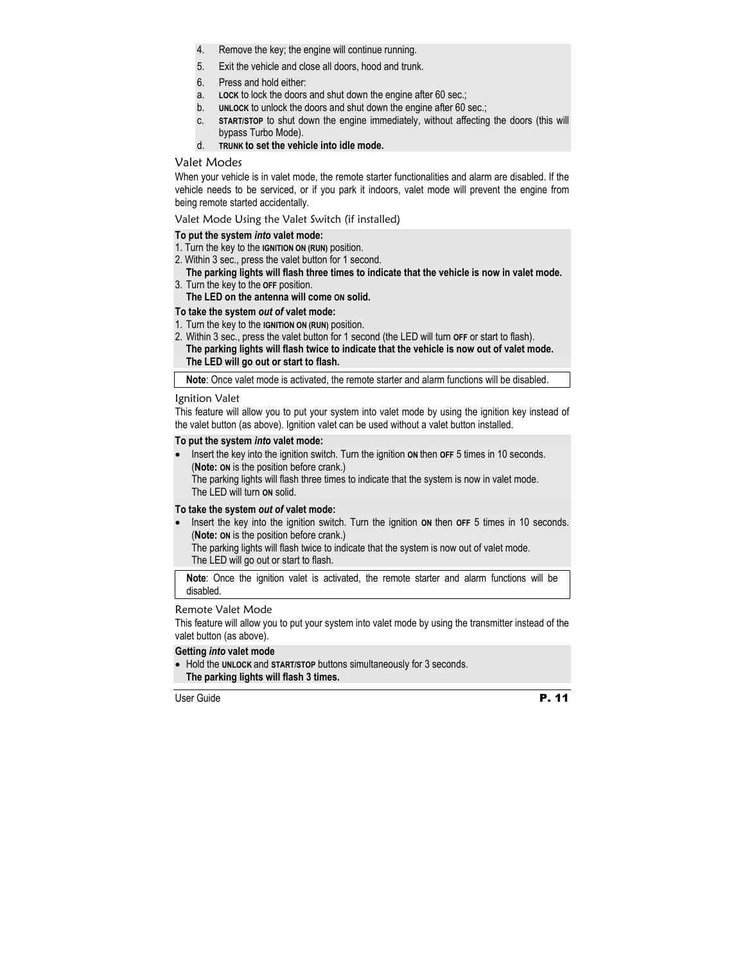- 4. Remove the key; the engine will continue running.
- 5. Exit the vehicle and close all doors, hood and trunk.
- 6. Press and hold either:
- a. **LOCK** to lock the doors and shut down the engine after 60 sec.;
- b. **UNLOCK** to unlock the doors and shut down the engine after 60 sec.;
- c. **START/STOP** to shut down the engine immediately, without affecting the doors (this will bypass Turbo Mode).
- d. **TRUNK to set the vehicle into idle mode.**

#### Valet Modes

When your vehicle is in valet mode, the remote starter functionalities and alarm are disabled. If the vehicle needs to be serviced, or if you park it indoors, valet mode will prevent the engine from being remote started accidentally.

Valet Mode Using the Valet Switch (if installed)

#### **To put the system** *into* **valet mode:**

- 1. Turn the key to the **IGNITION ON (RUN)** position.
- 2. Within 3 sec., press the valet button for 1 second.

#### **The parking lights will flash three times to indicate that the vehicle is now in valet mode.**  3. Turn the key to the **OFF** position.

**The LED on the antenna will come ON solid.** 

#### **To take the system** *out of* **valet mode:**

- 1. Turn the key to the **IGNITION ON (RUN)** position.
- 2. Within 3 sec., press the valet button for 1 second (the LED will turn **OFF** or start to flash). **The parking lights will flash twice to indicate that the vehicle is now out of valet mode. The LED will go out or start to flash.**

**Note**: Once valet mode is activated, the remote starter and alarm functions will be disabled.

#### Ignition Valet

This feature will allow you to put your system into valet mode by using the ignition key instead of the valet button (as above). Ignition valet can be used without a valet button installed.

#### **To put the system** *into* **valet mode:**

Insert the key into the ignition switch. Turn the ignition on then **OFF** 5 times in 10 seconds. (**Note: ON** is the position before crank.) The parking lights will flash three times to indicate that the system is now in valet mode. The LED will turn **ON** solid.

#### **To take the system** *out of* **valet mode:**

Insert the key into the ignition switch. Turn the ignition on then OFF 5 times in 10 seconds. (**Note: ON** is the position before crank.)

The parking lights will flash twice to indicate that the system is now out of valet mode. The LED will go out or start to flash.

**Note**: Once the ignition valet is activated, the remote starter and alarm functions will be disabled.

#### Remote Valet Mode

This feature will allow you to put your system into valet mode by using the transmitter instead of the valet button (as above).

#### **Getting** *into* **valet mode**

• Hold the **UNLOCK** and **START/STOP** buttons simultaneously for 3 seconds.  **The parking lights will flash 3 times.**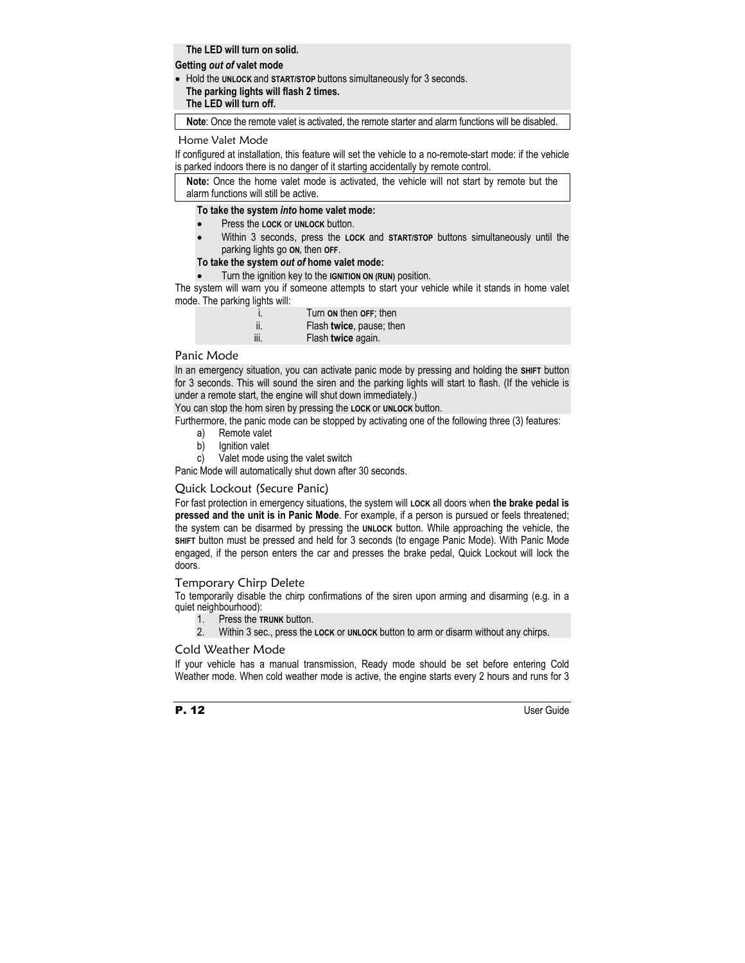**The LED will turn on solid.** 

#### **Getting** *out of* **valet mode**

• Hold the **UNLOCK** and **START/STOP** buttons simultaneously for 3 seconds.  **The parking lights will flash 2 times. The LED will turn off.** 

**Note**: Once the remote valet is activated, the remote starter and alarm functions will be disabled.

#### Home Valet Mode

If configured at installation, this feature will set the vehicle to a no-remote-start mode: if the vehicle is parked indoors there is no danger of it starting accidentally by remote control.

**Note:** Once the home valet mode is activated, the vehicle will not start by remote but the alarm functions will still be active.

#### **To take the system** *into* **home valet mode:**

- Press the **LOCK** or **UNLOCK** button.
- Within 3 seconds, press the **LOCK** and **START/STOP** buttons simultaneously until the parking lights go **ON,** then **OFF**.

#### **To take the system** *out of* **home valet mode:**

• Turn the ignition key to the **IGNITION ON (RUN)** position.

The system will warn you if someone attempts to start your vehicle while it stands in home valet mode. The parking lights will:

| i.   | Turn on then OFF; then   |
|------|--------------------------|
| ii.  | Flash twice, pause; then |
| iii. | Flash twice again.       |

#### Panic Mode

In an emergency situation, you can activate panic mode by pressing and holding the **SHIFT** button for 3 seconds. This will sound the siren and the parking lights will start to flash. (If the vehicle is under a remote start, the engine will shut down immediately.)

You can stop the horn siren by pressing the **LOCK** or **UNLOCK** button.

Furthermore, the panic mode can be stopped by activating one of the following three (3) features:

- a) Remote valet
- b) lanition valet
- c) Valet mode using the valet switch

Panic Mode will automatically shut down after 30 seconds.

#### Quick Lockout (Secure Panic)

For fast protection in emergency situations, the system will **LOCK** all doors when **the brake pedal is pressed and the unit is in Panic Mode**. For example, if a person is pursued or feels threatened; the system can be disarmed by pressing the **UNLOCK** button. While approaching the vehicle, the **SHIFT** button must be pressed and held for 3 seconds (to engage Panic Mode). With Panic Mode engaged, if the person enters the car and presses the brake pedal, Quick Lockout will lock the doors.

#### Temporary Chirp Delete

To temporarily disable the chirp confirmations of the siren upon arming and disarming (e.g. in a quiet neighbourhood):

- 1. Press the **TRUNK** button.
- 2. Within 3 sec., press the **LOCK** or **UNLOCK** button to arm or disarm without any chirps.

#### Cold Weather Mode

If your vehicle has a manual transmission, Ready mode should be set before entering Cold Weather mode. When cold weather mode is active, the engine starts every 2 hours and runs for 3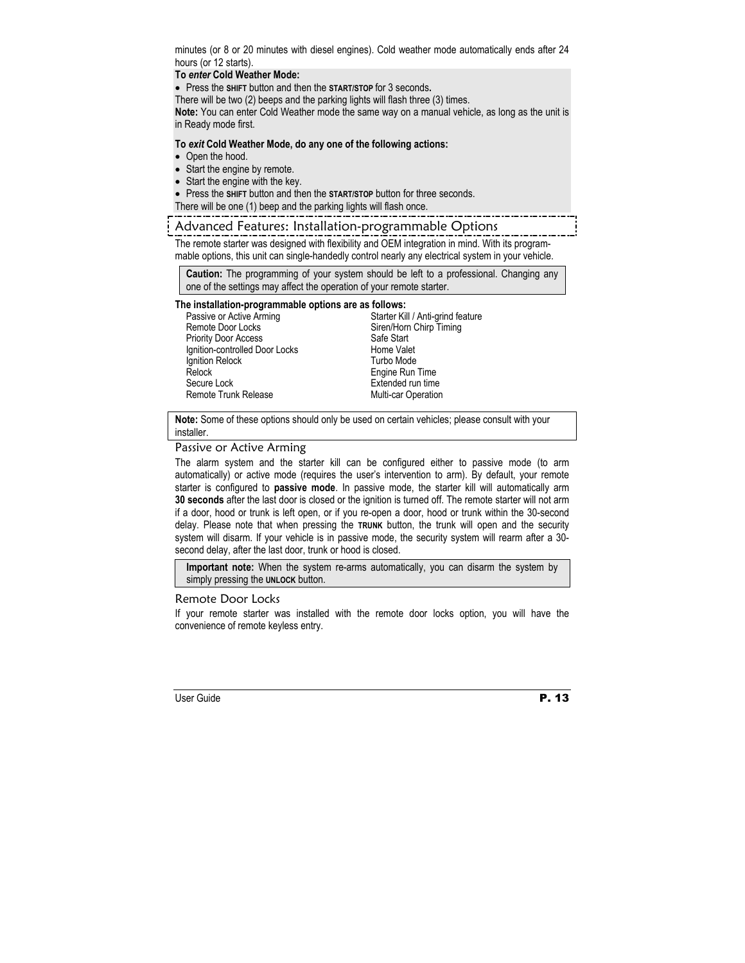minutes (or 8 or 20 minutes with diesel engines). Cold weather mode automatically ends after 24 hours (or 12 starts).

#### **To** *enter* **Cold Weather Mode:**

• Press the **SHIFT** button and then the **START/STOP** for 3 seconds**.**

There will be two (2) beeps and the parking lights will flash three (3) times.

**Note:** You can enter Cold Weather mode the same way on a manual vehicle, as long as the unit is in Ready mode first.

#### **To** *exit* **Cold Weather Mode, do any one of the following actions:**

- Open the hood.
- Start the engine by remote.
- Start the engine with the key.
- Press the **SHIFT** button and then the **START/STOP** button for three seconds.

There will be one (1) beep and the parking lights will flash once.

#### Advanced Features: Installation-programmable Options

The remote starter was designed with flexibility and OEM integration in mind. With its programmable options, this unit can single-handedly control nearly any electrical system in your vehicle.

**Caution:** The programming of your system should be left to a professional. Changing any one of the settings may affect the operation of your remote starter.

#### **The installation-programmable options are as follows:**

Passive or Active Arming Remote Door Locks Priority Door Access Ignition-controlled Door Locks Ignition Relock Relock Secure Lock Remote Trunk Release

Starter Kill / Anti-grind feature Siren/Horn Chirp Timing Safe Start Home Valet Turbo Mode Engine Run Time Extended run time Multi-car Operation

**Note:** Some of these options should only be used on certain vehicles; please consult with your installer.

#### Passive or Active Arming

The alarm system and the starter kill can be configured either to passive mode (to arm automatically) or active mode (requires the user's intervention to arm). By default, your remote starter is configured to **passive mode**. In passive mode, the starter kill will automatically arm **30 seconds** after the last door is closed or the ignition is turned off. The remote starter will not arm if a door, hood or trunk is left open, or if you re-open a door, hood or trunk within the 30-second delay. Please note that when pressing the **TRUNK** button, the trunk will open and the security system will disarm. If your vehicle is in passive mode, the security system will rearm after a 30 second delay, after the last door, trunk or hood is closed.

**Important note:** When the system re-arms automatically, you can disarm the system by simply pressing the **UNLOCK** button.

#### Remote Door Locks

If your remote starter was installed with the remote door locks option, you will have the convenience of remote keyless entry.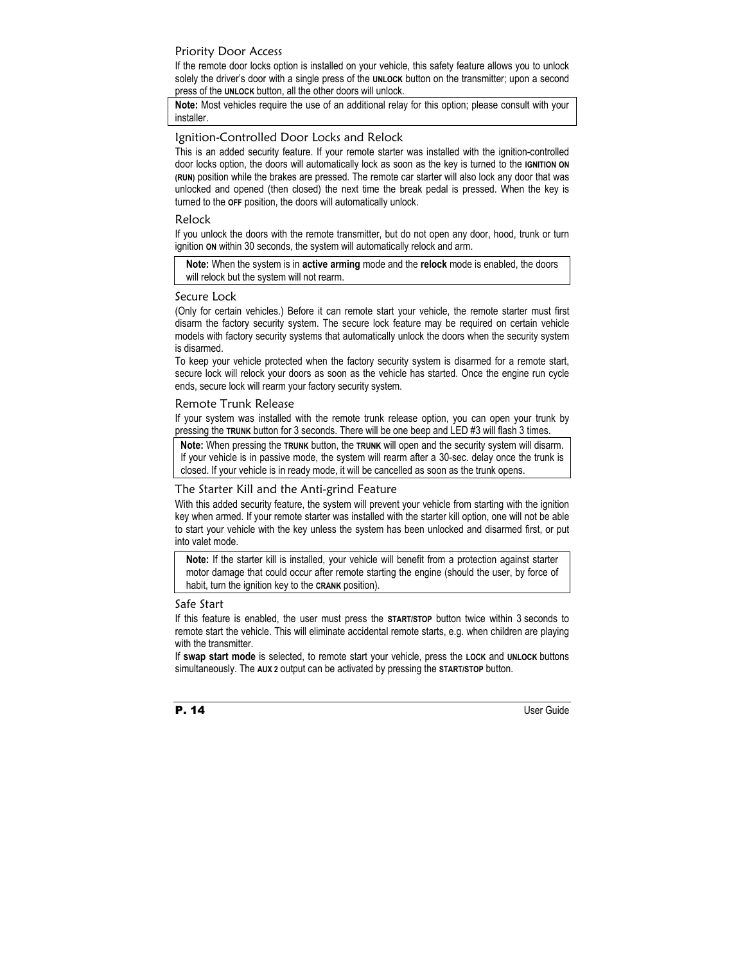#### Priority Door Access

If the remote door locks option is installed on your vehicle, this safety feature allows you to unlock solely the driver's door with a single press of the **UNLOCK** button on the transmitter; upon a second press of the **UNLOCK** button, all the other doors will unlock.

**Note:** Most vehicles require the use of an additional relay for this option; please consult with your installer.

#### Ignition-Controlled Door Locks and Relock

This is an added security feature. If your remote starter was installed with the ignition-controlled door locks option, the doors will automatically lock as soon as the key is turned to the **IGNITION ON (RUN)** position while the brakes are pressed. The remote car starter will also lock any door that was unlocked and opened (then closed) the next time the break pedal is pressed. When the key is turned to the **OFF** position, the doors will automatically unlock.

#### Relock

If you unlock the doors with the remote transmitter, but do not open any door, hood, trunk or turn ignition **ON** within 30 seconds, the system will automatically relock and arm.

**Note:** When the system is in **active arming** mode and the **relock** mode is enabled, the doors will relock but the system will not rearm.

#### Secure Lock

(Only for certain vehicles.) Before it can remote start your vehicle, the remote starter must first disarm the factory security system. The secure lock feature may be required on certain vehicle models with factory security systems that automatically unlock the doors when the security system is disarmed.

To keep your vehicle protected when the factory security system is disarmed for a remote start, secure lock will relock your doors as soon as the vehicle has started. Once the engine run cycle ends, secure lock will rearm your factory security system.

#### Remote Trunk Release

If your system was installed with the remote trunk release option, you can open your trunk by pressing the **TRUNK** button for 3 seconds. There will be one beep and LED #3 will flash 3 times.

**Note:** When pressing the **TRUNK** button, the **TRUNK** will open and the security system will disarm. If your vehicle is in passive mode, the system will rearm after a 30-sec. delay once the trunk is closed. If your vehicle is in ready mode, it will be cancelled as soon as the trunk opens.

#### The Starter Kill and the Anti-grind Feature

With this added security feature, the system will prevent your vehicle from starting with the ignition key when armed. If your remote starter was installed with the starter kill option, one will not be able to start your vehicle with the key unless the system has been unlocked and disarmed first, or put into valet mode.

**Note:** If the starter kill is installed, your vehicle will benefit from a protection against starter motor damage that could occur after remote starting the engine (should the user, by force of habit, turn the ignition key to the **CRANK** position).

#### Safe Start

If this feature is enabled, the user must press the **START/STOP** button twice within 3 seconds to remote start the vehicle. This will eliminate accidental remote starts, e.g. when children are playing with the transmitter.

If **swap start mode** is selected, to remote start your vehicle, press the **LOCK** and **UNLOCK** buttons simultaneously. The **AUX 2** output can be activated by pressing the **START/STOP** button.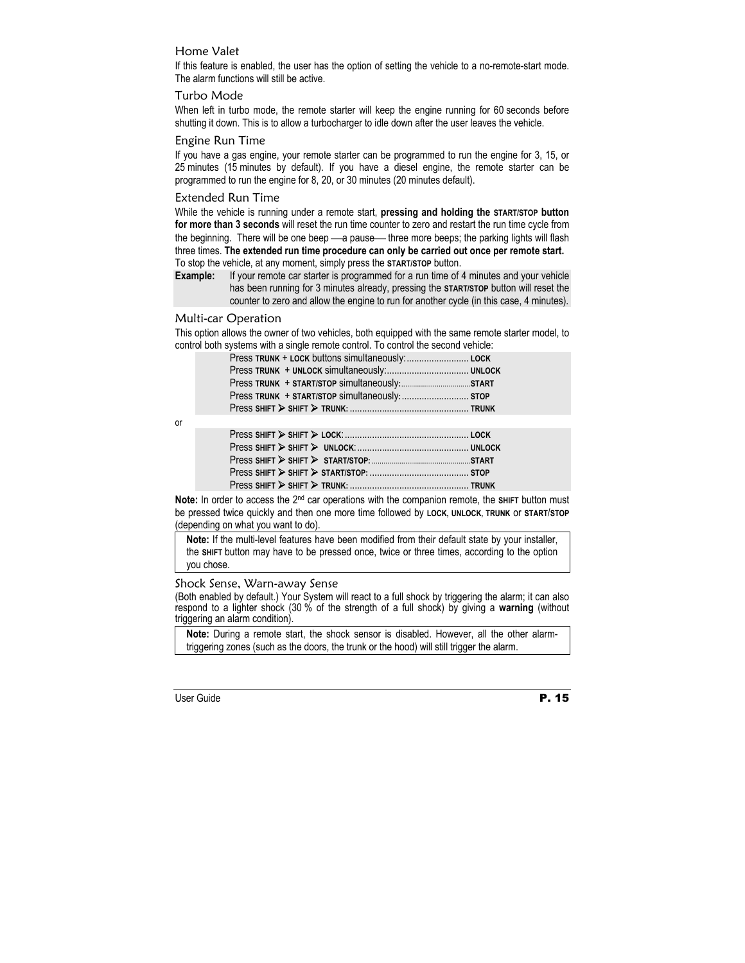#### Home Valet

If this feature is enabled, the user has the option of setting the vehicle to a no-remote-start mode. The alarm functions will still be active.

#### Turbo Mode

When left in turbo mode, the remote starter will keep the engine running for 60 seconds before shutting it down. This is to allow a turbocharger to idle down after the user leaves the vehicle.

#### Engine Run Time

If you have a gas engine, your remote starter can be programmed to run the engine for 3, 15, or 25 minutes (15 minutes by default). If you have a diesel engine, the remote starter can be programmed to run the engine for 8, 20, or 30 minutes (20 minutes default).

#### Extended Run Time

While the vehicle is running under a remote start, **pressing and holding the START/STOP button for more than 3 seconds** will reset the run time counter to zero and restart the run time cycle from the beginning. There will be one beep - a pause - three more beeps; the parking lights will flash three times. **The extended run time procedure can only be carried out once per remote start.**  To stop the vehicle, at any moment, simply press the **START/STOP** button.

**Example:** If your remote car starter is programmed for a run time of 4 minutes and your vehicle has been running for 3 minutes already, pressing the **START/STOP** button will reset the counter to zero and allow the engine to run for another cycle (in this case, 4 minutes).

#### Multi-car Operation

This option allows the owner of two vehicles, both equipped with the same remote starter model, to control both systems with a single remote control. To control the second vehicle:

| Press TRUNK + START/STOP simultaneously: STOP |  |
|-----------------------------------------------|--|
|                                               |  |

or

**Note:** In order to access the 2<sup>nd</sup> car operations with the companion remote, the SHIFT button must be pressed twice quickly and then one more time followed by **LOCK, UNLOCK, TRUNK** or **START**/**STOP**  (depending on what you want to do).

**Note:** If the multi-level features have been modified from their default state by your installer, the **SHIFT** button may have to be pressed once, twice or three times, according to the option you chose.

#### Shock Sense, Warn-away Sense

(Both enabled by default.) Your System will react to a full shock by triggering the alarm; it can also respond to a lighter shock (30 % of the strength of a full shock) by giving a **warning** (without triggering an alarm condition).

**Note:** During a remote start, the shock sensor is disabled. However, all the other alarmtriggering zones (such as the doors, the trunk or the hood) will still trigger the alarm.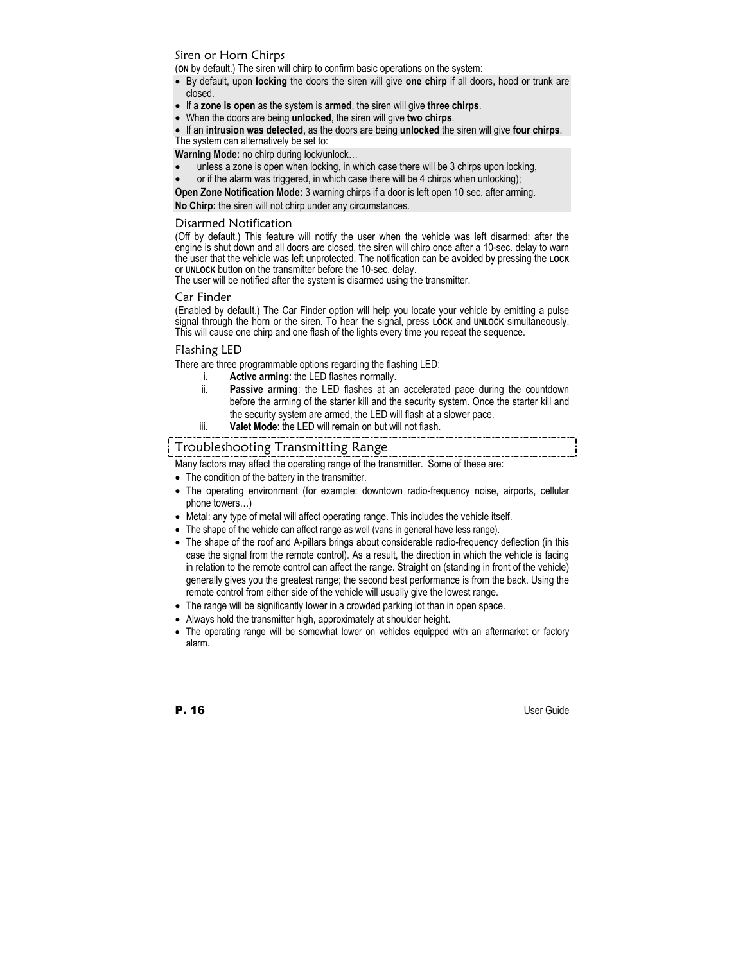#### Siren or Horn Chirps

(**ON** by default.) The siren will chirp to confirm basic operations on the system:

- By default, upon **locking** the doors the siren will give **one chirp** if all doors, hood or trunk are closed.
- If a **zone is open** as the system is **armed**, the siren will give **three chirps**.
- When the doors are being **unlocked**, the siren will give **two chirps**.
- If an **intrusion was detected**, as the doors are being **unlocked** the siren will give **four chirps**. The system can alternatively be set to:

**Warning Mode:** no chirp during lock/unlock…

- unless a zone is open when locking, in which case there will be 3 chirps upon locking,
- or if the alarm was triggered, in which case there will be 4 chirps when unlocking);

**Open Zone Notification Mode:** 3 warning chirps if a door is left open 10 sec. after arming.

**No Chirp:** the siren will not chirp under any circumstances.

#### Disarmed Notification

(Off by default.) This feature will notify the user when the vehicle was left disarmed: after the engine is shut down and all doors are closed, the siren will chirp once after a 10-sec. delay to warn the user that the vehicle was left unprotected. The notification can be avoided by pressing the **LOCK** or **UNLOCK** button on the transmitter before the 10-sec. delay.

The user will be notified after the system is disarmed using the transmitter.

#### Car Finder

(Enabled by default.) The Car Finder option will help you locate your vehicle by emitting a pulse signal through the horn or the siren. To hear the signal, press **LOCK** and **UNLOCK** simultaneously. This will cause one chirp and one flash of the lights every time you repeat the sequence.

#### Flashing LED

There are three programmable options regarding the flashing LED:

- i. **Active arming**: the LED flashes normally.
- ii. **Passive arming**: the LED flashes at an accelerated pace during the countdown before the arming of the starter kill and the security system. Once the starter kill and the security system are armed, the LED will flash at a slower pace.
- iii. **Valet Mode**: the LED will remain on but will not flash.

#### Troubleshooting Transmitting Range

Many factors may affect the operating range of the transmitter. Some of these are:

- The condition of the battery in the transmitter.
- The operating environment (for example: downtown radio-frequency noise, airports, cellular phone towers…)
- Metal: any type of metal will affect operating range. This includes the vehicle itself.
- The shape of the vehicle can affect range as well (vans in general have less range).
- The shape of the roof and A-pillars brings about considerable radio-frequency deflection (in this case the signal from the remote control). As a result, the direction in which the vehicle is facing in relation to the remote control can affect the range. Straight on (standing in front of the vehicle) generally gives you the greatest range; the second best performance is from the back. Using the remote control from either side of the vehicle will usually give the lowest range.
- The range will be significantly lower in a crowded parking lot than in open space.
- Always hold the transmitter high, approximately at shoulder height.
- The operating range will be somewhat lower on vehicles equipped with an aftermarket or factory alarm.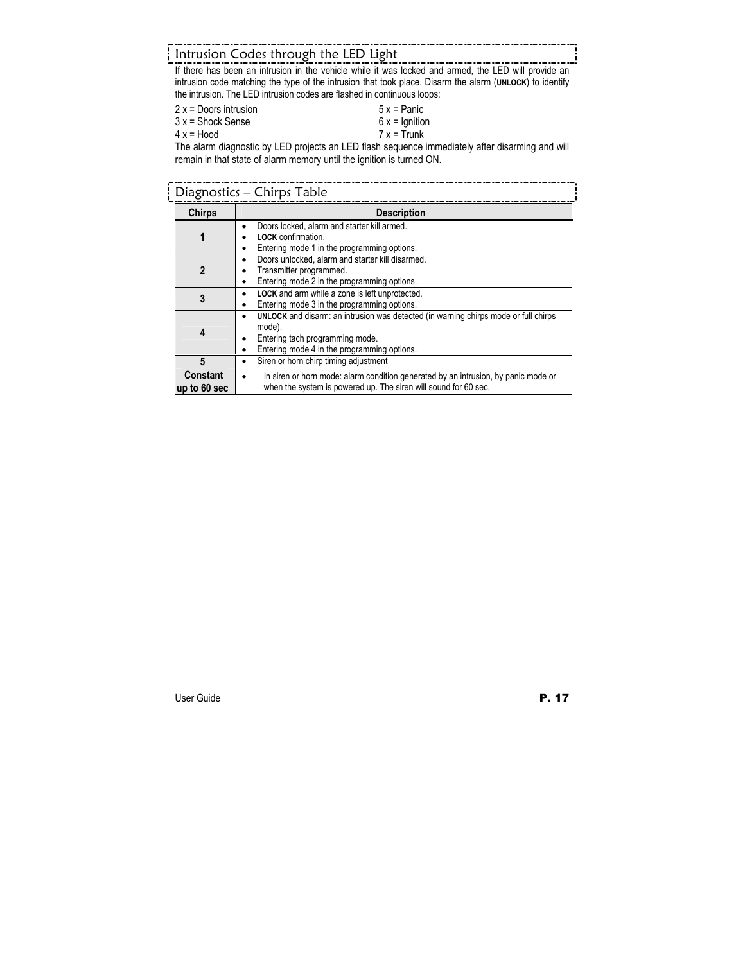## Intrusion Codes through the LED Light

If there has been an intrusion in the vehicle while it was locked and armed, the LED will provide an intrusion code matching the type of the intrusion that took place. Disarm the alarm (**UNLOCK**) to identify the intrusion. The LED intrusion codes are flashed in continuous loops:

| $2x =$ Doors intrusion | $5x =$ Panic    |
|------------------------|-----------------|
| $3x =$ Shock Sense     | $6x =$ Ignition |
| $4x = Hood$            | $7x = Trunk$    |

The alarm diagnostic by LED projects an LED flash sequence immediately after disarming and will remain in that state of alarm memory until the ignition is turned ON.

| Diagnostics - Chirps Table      |                                                                                                                                                                                 |  |  |
|---------------------------------|---------------------------------------------------------------------------------------------------------------------------------------------------------------------------------|--|--|
| <b>Chirps</b>                   | <b>Description</b>                                                                                                                                                              |  |  |
| 1                               | Doors locked, alarm and starter kill armed.<br><b>LOCK</b> confirmation.<br>Entering mode 1 in the programming options.                                                         |  |  |
| $\mathbf{2}$                    | Doors unlocked, alarm and starter kill disarmed.<br>Transmitter programmed.<br>Entering mode 2 in the programming options.                                                      |  |  |
| 3                               | LOCK and arm while a zone is left unprotected.<br>Entering mode 3 in the programming options.                                                                                   |  |  |
| 4                               | UNLOCK and disarm: an intrusion was detected (in warning chirps mode or full chirps<br>mode).<br>Entering tach programming mode.<br>Entering mode 4 in the programming options. |  |  |
| 5                               | Siren or horn chirp timing adjustment                                                                                                                                           |  |  |
| <b>Constant</b><br>up to 60 sec | In siren or horn mode: alarm condition generated by an intrusion, by panic mode or<br>when the system is powered up. The siren will sound for 60 sec.                           |  |  |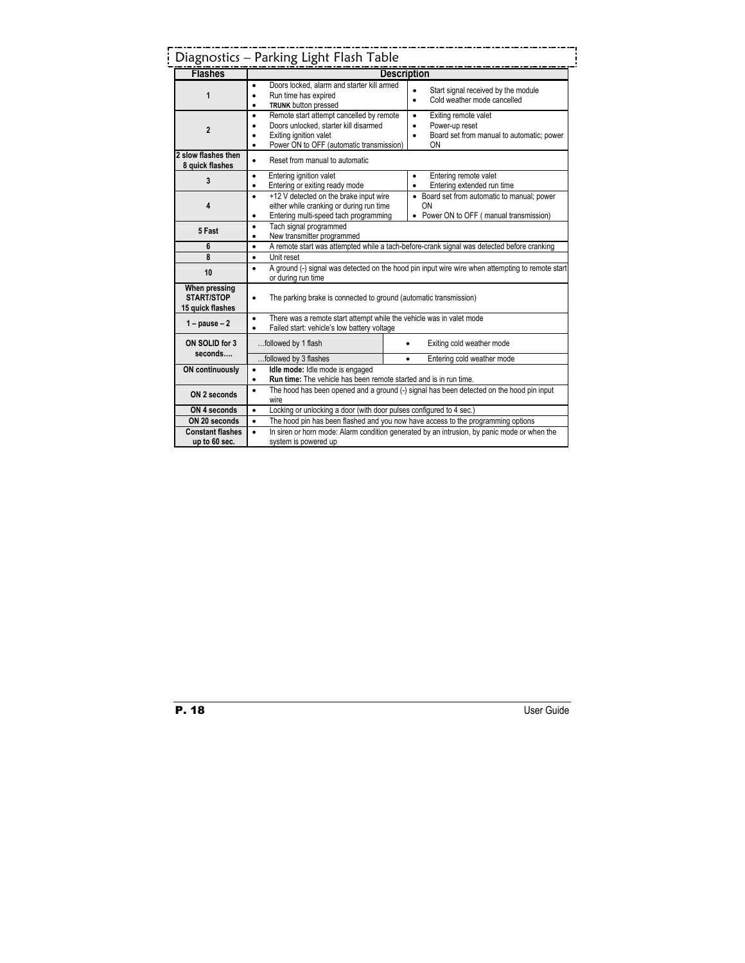|                                                        | Diagnostics - Parking Light Flash Table                                                                                                                                                        |                                                                                                                     |  |
|--------------------------------------------------------|------------------------------------------------------------------------------------------------------------------------------------------------------------------------------------------------|---------------------------------------------------------------------------------------------------------------------|--|
| <b>Flashes</b>                                         |                                                                                                                                                                                                | <b>Description</b>                                                                                                  |  |
| 1                                                      | Doors locked, alarm and starter kill armed<br>Run time has expired<br>$\bullet$<br><b>TRUNK</b> button pressed<br>$\bullet$                                                                    | Start signal received by the module<br>Cold weather mode cancelled<br>$\bullet$                                     |  |
| $\overline{2}$                                         | Remote start attempt cancelled by remote<br>$\bullet$<br>Doors unlocked, starter kill disarmed<br>$\bullet$<br>Exiting ignition valet<br>Power ON to OFF (automatic transmission)<br>$\bullet$ | Exiting remote valet<br>$\bullet$<br>Power-up reset<br>$\bullet$<br>Board set from manual to automatic; power<br>OΝ |  |
| 2 slow flashes then<br>8 quick flashes                 | Reset from manual to automatic<br>$\bullet$                                                                                                                                                    |                                                                                                                     |  |
| 3                                                      | Entering ignition valet<br>$\bullet$<br>Entering or exiting ready mode<br>$\bullet$                                                                                                            | Entering remote valet<br>$\bullet$<br>Entering extended run time<br>$\bullet$                                       |  |
| 4                                                      | +12 V detected on the brake input wire<br>$\bullet$<br>either while cranking or during run time<br>Entering multi-speed tach programming<br>$\bullet$                                          | • Board set from automatic to manual; power<br>ON<br>• Power ON to OFF (manual transmission)                        |  |
| 5 Fast                                                 | Tach signal programmed<br>$\bullet$<br>New transmitter programmed<br>$\bullet$                                                                                                                 |                                                                                                                     |  |
| 6                                                      | A remote start was attempted while a tach-before-crank signal was detected before cranking<br>$\bullet$                                                                                        |                                                                                                                     |  |
| 8                                                      | $\bullet$<br>Unit reset                                                                                                                                                                        |                                                                                                                     |  |
| 10                                                     | A ground (-) signal was detected on the hood pin input wire wire when attempting to remote start<br>$\bullet$<br>or during run time                                                            |                                                                                                                     |  |
| When pressing<br><b>START/STOP</b><br>15 quick flashes | The parking brake is connected to ground (automatic transmission)<br>$\bullet$                                                                                                                 |                                                                                                                     |  |
| $1 - \text{pause} - 2$                                 | There was a remote start attempt while the vehicle was in valet mode<br>$\bullet$<br>Failed start: vehicle's low battery voltage<br>$\bullet$                                                  |                                                                                                                     |  |
| ON SOLID for 3<br>seconds                              | followed by 1 flash                                                                                                                                                                            | Exiting cold weather mode                                                                                           |  |
|                                                        | followed by 3 flashes                                                                                                                                                                          | Entering cold weather mode<br>$\bullet$                                                                             |  |
| <b>ON continuously</b>                                 | Idle mode: Idle mode is engaged<br>$\bullet$<br>Run time: The vehicle has been remote started and is in run time.<br>٠                                                                         |                                                                                                                     |  |
| ON 2 seconds                                           | The hood has been opened and a ground (-) signal has been detected on the hood pin input<br>$\bullet$<br>wire                                                                                  |                                                                                                                     |  |
| ON 4 seconds                                           | Locking or unlocking a door (with door pulses configured to 4 sec.)<br>$\bullet$                                                                                                               |                                                                                                                     |  |
| ON 20 seconds                                          | The hood pin has been flashed and you now have access to the programming options<br>$\bullet$                                                                                                  |                                                                                                                     |  |
| <b>Constant flashes</b><br>up to 60 sec.               | In siren or horn mode: Alarm condition generated by an intrusion, by panic mode or when the<br>$\bullet$<br>system is powered up                                                               |                                                                                                                     |  |